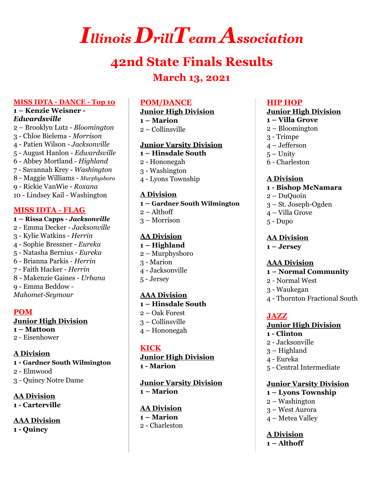# *Illinois DrillTeam Association*

# **42nd State Finals Results March 13, 2021**

### **MISS IDTA - DANCE - Top 10**

### **– Kenzie Weisner -** *Edwardsville*

 – Brooklyn Lutz - *Bloomington* - Chloe Bielema - *Morrison* - Patien Wilson - *Jacksonville* - August Hanlon - *Edwardsville* - Abbey Mortland - *Highland* - Savannah Krey - *Washington* - Maggie Williams *- Murphysboro* - Rickie VanWie - *Roxana* - Lindsey Kail - Washington

### **MISS IDTA - FLAG**

### **– Rissa Capps -** *Jacksonville* - Emma Decker - *Jacksonville* - Kylie Watkins - *Herrin* - Sophie Bressner - *Eureka* - Natasha Bernius - *Eureka* - Brianna Parkis - *Herrin* - Faith Hacker - *Herrin* - Makenzie Gaines - *Urbana* - Emma Beddow - *Mahomet-Seymour*

### **POM**

#### **Junior High Division – Mattoon**

- Eisenhower

### **A Division - Gardner South Wilmington**

- Elmwood
- Quincy Notre Dame

**AA Division - Carterville**

**AAA Division - Quincy**

### **POM/DANCE**

### **Junior High Division**

 **– Marion** – Collinsville

### **Junior Varsity Division**

- **– Hinsdale South**
- Hononegah
- Washington
- Lyons Township

### **A Division**

**– Gardner South Wilmington**

- Althoff
- Morrison

### **AA Division**

- **– Highland**
- Murphysboro
- Marion
- Jacksonville
- Jersey

### **AAA Division**

- **– Hinsdale South** – Oak Forest
- Collinsville
- Hononegah

### **KICK**

**Junior High Division - Marion**

**Junior Varsity Division – Marion**

#### **AA Division – Marion**

- Charleston

### **HIP HOP**

### **Junior High Division**

- **– Villa Grove**
- Bloomington
- Trimpe
- Jefferson
- Unity
- Charleston

### **A Division**

- **- Bishop McNamara**
- DuQuoin
- St. Joseph-Ogden
- Villa Grove
- Dupo

### **AA Division**

**– Jersey**

### **AAA Division**

### **– Normal Community**

- Normal West
- Waukegan
- Thornton Fractional South

### **JAZZ**

### **Junior High Division**

- **- Clinton**
- Jacksonville
- Highland
- Eureka
- Central Intermediate

### **Junior Varsity Division**

- **– Lyons Township**
- Washington
- West Aurora
- Metea Valley

**A Division – Althoff**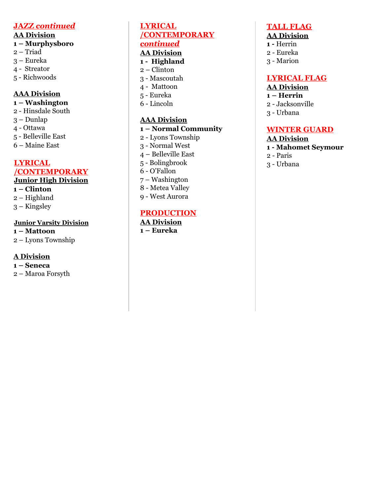### **JAZZ** *continued*

### **AA Division**

### **1 – Murphysboro**

- 2 Triad
- 3 Eureka
- 4 Streator
- 5 Richwoods

### **AAA Division**

- **1 – Washington**
- 2 Hinsdale South
- 3 Dunlap
- 4 Ottawa
- 5 Belleville East
- 6 Maine East

### **LYRICAL /CONTEMPORARY Junior High Division**

### **1 – Clinton**

- 2 Highland
- 3 Kingsley

### **Junior Varsity Division**

**1 – Mattoon** 2 – Lyons Township

### **A Division**

**1 – Seneca** 2 – Maroa Forsyth

### **LYRICAL /CONTEMPORARY** *continued*

### **AA Division**

- **1 - Highland**
- 2 Clinton
- 3 Mascoutah
- 4 Mattoon
- 5 Eureka
- 6 Lincoln

### **AAA Division**

### **1 – Normal Co m m u n i ty**

- 2 Lyons Township
- 3 Normal West
- 4 Belleville East
- 5 Bolingbrook
- 6 O 'F a l l o n
- 7 Washington
- 8 Metea Valley 9 - West Aurora

### **PRODUCTION**

### **AA Division 1 – Eureka**

### **TALL FLAG**

### **AA Division**

- **1 -** Herrin
- 2 Eureka
- 3 Marion

### **LYRICAL FLAG**

### **AA Division**

- **1 – Herrin**
- 2 Jacksonville
- 3 Urbana

### **WINTER GUARD**

### **AA Division**

- **1 - Mahomet Seymo u r**
- 2 Paris
- 3 Urbana